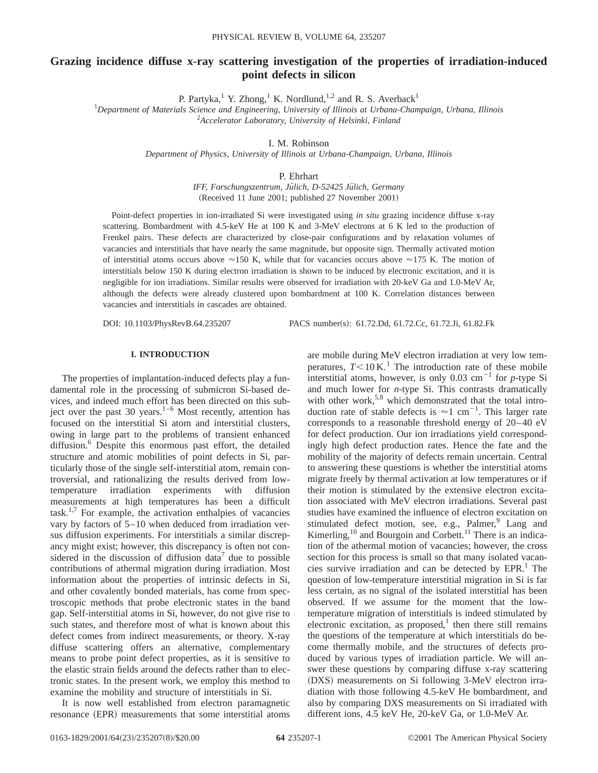# **Grazing incidence diffuse x-ray scattering investigation of the properties of irradiation-induced point defects in silicon**

P. Partyka,<sup>1</sup> Y. Zhong,<sup>1</sup> K. Nordlund,<sup>1,2</sup> and R. S. Averback<sup>1</sup>

1 *Department of Materials Science and Engineering, University of Illinois at Urbana-Champaign, Urbana, Illinois* 2 *Accelerator Laboratory, University of Helsinki, Finland*

I. M. Robinson

*Department of Physics, University of Illinois at Urbana-Champaign, Urbana, Illinois*

P. Ehrhart

IFF, Forschungszentrum, Jülich, D-52425 Jülich, Germany (Received 11 June 2001; published 27 November 2001)

Point-defect properties in ion-irradiated Si were investigated using *in situ* grazing incidence diffuse x-ray scattering. Bombardment with 4.5-keV He at 100 K and 3-MeV electrons at 6 K led to the production of Frenkel pairs. These defects are characterized by close-pair configurations and by relaxation volumes of vacancies and interstitials that have nearly the same magnitude, but opposite sign. Thermally activated motion of interstitial atoms occurs above  $\approx$  150 K, while that for vacancies occurs above  $\approx$  175 K. The motion of interstitials below 150 K during electron irradiation is shown to be induced by electronic excitation, and it is negligible for ion irradiations. Similar results were observed for irradiation with 20-keV Ga and 1.0-MeV Ar, although the defects were already clustered upon bombardment at 100 K. Correlation distances between vacancies and interstitials in cascades are obtained.

DOI: 10.1103/PhysRevB.64.235207 PACS number(s): 61.72.Dd, 61.72.Cc, 61.72.Ji, 61.82.Fk

## **I. INTRODUCTION**

The properties of implantation-induced defects play a fundamental role in the processing of submicron Si-based devices, and indeed much effort has been directed on this subject over the past 30 years. $1-6$  Most recently, attention has focused on the interstitial Si atom and interstitial clusters, owing in large part to the problems of transient enhanced diffusion.<sup>6</sup> Despite this enormous past effort, the detailed structure and atomic mobilities of point defects in Si, particularly those of the single self-interstitial atom, remain controversial, and rationalizing the results derived from lowtemperature irradiation experiments with diffusion measurements at high temperatures has been a difficult task. $1,7$  For example, the activation enthalpies of vacancies vary by factors of 5–10 when deduced from irradiation versus diffusion experiments. For interstitials a similar discrepancy might exist; however, this discrepancy is often not considered in the discussion of diffusion data<sup> $7$ </sup> due to possible contributions of athermal migration during irradiation. Most information about the properties of intrinsic defects in Si, and other covalently bonded materials, has come from spectroscopic methods that probe electronic states in the band gap. Self-interstitial atoms in Si, however, do not give rise to such states, and therefore most of what is known about this defect comes from indirect measurements, or theory. X-ray diffuse scattering offers an alternative, complementary means to probe point defect properties, as it is sensitive to the elastic strain fields around the defects rather than to electronic states. In the present work, we employ this method to examine the mobility and structure of interstitials in Si.

It is now well established from electron paramagnetic resonance (EPR) measurements that some interstitial atoms

are mobile during MeV electron irradiation at very low temperatures,  $T$ <10 K.<sup>1</sup> The introduction rate of these mobile interstitial atoms, however, is only  $0.03 \text{ cm}^{-1}$  for *p*-type Si and much lower for *n*-type Si. This contrasts dramatically with other work,<sup>5,8</sup> which demonstrated that the total introduction rate of stable defects is  $\approx 1$  cm<sup>-1</sup>. This larger rate corresponds to a reasonable threshold energy of 20–40 eV for defect production. Our ion irradiations yield correspondingly high defect production rates. Hence the fate and the mobility of the majority of defects remain uncertain. Central to answering these questions is whether the interstitial atoms migrate freely by thermal activation at low temperatures or if their motion is stimulated by the extensive electron excitation associated with MeV electron irradiations. Several past studies have examined the influence of electron excitation on stimulated defect motion, see, e.g., Palmer,<sup>9</sup> Lang and Kimerling,<sup>10</sup> and Bourgoin and Corbett.<sup>11</sup> There is an indication of the athermal motion of vacancies; however, the cross section for this process is small so that many isolated vacancies survive irradiation and can be detected by  $EPR<sup>1</sup>$ . The question of low-temperature interstitial migration in Si is far less certain, as no signal of the isolated interstitial has been observed. If we assume for the moment that the lowtemperature migration of interstitials is indeed stimulated by electronic excitation, as proposed, $\frac{1}{1}$  then there still remains the questions of the temperature at which interstitials do become thermally mobile, and the structures of defects produced by various types of irradiation particle. We will answer these questions by comparing diffuse x-ray scattering (DXS) measurements on Si following 3-MeV electron irradiation with those following 4.5-keV He bombardment, and also by comparing DXS measurements on Si irradiated with different ions, 4.5 keV He, 20-keV Ga, or 1.0-MeV Ar.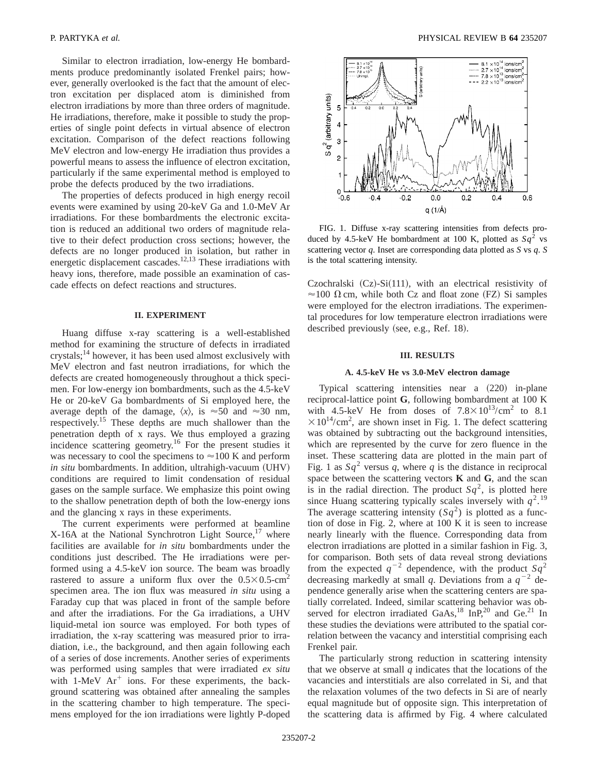Similar to electron irradiation, low-energy He bombardments produce predominantly isolated Frenkel pairs; however, generally overlooked is the fact that the amount of electron excitation per displaced atom is diminished from electron irradiations by more than three orders of magnitude. He irradiations, therefore, make it possible to study the properties of single point defects in virtual absence of electron excitation. Comparison of the defect reactions following MeV electron and low-energy He irradiation thus provides a powerful means to assess the influence of electron excitation, particularly if the same experimental method is employed to probe the defects produced by the two irradiations.

The properties of defects produced in high energy recoil events were examined by using 20-keV Ga and 1.0-MeV Ar irradiations. For these bombardments the electronic excitation is reduced an additional two orders of magnitude relative to their defect production cross sections; however, the defects are no longer produced in isolation, but rather in energetic displacement cascades.<sup>12,13</sup> These irradiations with heavy ions, therefore, made possible an examination of cascade effects on defect reactions and structures.

### **II. EXPERIMENT**

Huang diffuse x-ray scattering is a well-established method for examining the structure of defects in irradiated crystals;<sup>14</sup> however, it has been used almost exclusively with MeV electron and fast neutron irradiations, for which the defects are created homogeneously throughout a thick specimen. For low-energy ion bombardments, such as the 4.5-keV He or 20-keV Ga bombardments of Si employed here, the average depth of the damage,  $\langle x \rangle$ , is  $\approx 50$  and  $\approx 30$  nm, respectively.15 These depths are much shallower than the penetration depth of x rays. We thus employed a grazing incidence scattering geometry.<sup>16</sup> For the present studies it was necessary to cool the specimens to  $\approx$  100 K and perform *in situ* bombardments. In addition, ultrahigh-vacuum (UHV) conditions are required to limit condensation of residual gases on the sample surface. We emphasize this point owing to the shallow penetration depth of both the low-energy ions and the glancing x rays in these experiments.

The current experiments were performed at beamline  $X-16A$  at the National Synchrotron Light Source,<sup>17</sup> where facilities are available for *in situ* bombardments under the conditions just described. The He irradiations were performed using a 4.5-keV ion source. The beam was broadly rastered to assure a uniform flux over the  $0.5 \times 0.5$ -cm<sup>2</sup> specimen area. The ion flux was measured *in situ* using a Faraday cup that was placed in front of the sample before and after the irradiations. For the Ga irradiations, a UHV liquid-metal ion source was employed. For both types of irradiation, the x-ray scattering was measured prior to irradiation, i.e., the background, and then again following each of a series of dose increments. Another series of experiments was performed using samples that were irradiated *ex situ* with 1-MeV  $Ar^+$  ions. For these experiments, the background scattering was obtained after annealing the samples in the scattering chamber to high temperature. The specimens employed for the ion irradiations were lightly P-doped



FIG. 1. Diffuse x-ray scattering intensities from defects produced by 4.5-keV He bombardment at 100 K, plotted as  $Sq^2$  vs scattering vector *q*. Inset are corresponding data plotted as *S* vs *q*. *S* is the total scattering intensity.

Czochralski  $(Cz)$ -Si $(111)$ , with an electrical resistivity of  $\approx$  100  $\Omega$  cm, while both Cz and float zone (FZ) Si samples were employed for the electron irradiations. The experimental procedures for low temperature electron irradiations were described previously (see, e.g., Ref.  $18$ ).

#### **III. RESULTS**

#### **A. 4.5-keV He vs 3.0-MeV electron damage**

Typical scattering intensities near a  $(220)$  in-plane reciprocal-lattice point **G**, following bombardment at 100 K with 4.5-keV He from doses of  $7.8 \times 10^{13} / \text{cm}^2$  to 8.1  $\times 10^{14}/\text{cm}^2$ , are shown inset in Fig. 1. The defect scattering was obtained by subtracting out the background intensities, which are represented by the curve for zero fluence in the inset. These scattering data are plotted in the main part of Fig. 1 as  $Sq^2$  versus q, where q is the distance in reciprocal space between the scattering vectors  $\bf{K}$  and  $\bf{G}$ , and the scan is in the radial direction. The product  $Sq^2$ , is plotted here since Huang scattering typically scales inversely with  $q^2$ .<sup>19</sup> The average scattering intensity  $(Sq^2)$  is plotted as a function of dose in Fig. 2, where at 100 K it is seen to increase nearly linearly with the fluence. Corresponding data from electron irradiations are plotted in a similar fashion in Fig. 3, for comparison. Both sets of data reveal strong deviations from the expected  $q^{-2}$  dependence, with the product  $Sq^2$ decreasing markedly at small *q*. Deviations from a  $q^{-2}$  dependence generally arise when the scattering centers are spatially correlated. Indeed, similar scattering behavior was observed for electron irradiated GaAs,<sup>18</sup> InP,<sup>20</sup> and Ge.<sup>21</sup> In these studies the deviations were attributed to the spatial correlation between the vacancy and interstitial comprising each Frenkel pair.

The particularly strong reduction in scattering intensity that we observe at small *q* indicates that the locations of the vacancies and interstitials are also correlated in Si, and that the relaxation volumes of the two defects in Si are of nearly equal magnitude but of opposite sign. This interpretation of the scattering data is affirmed by Fig. 4 where calculated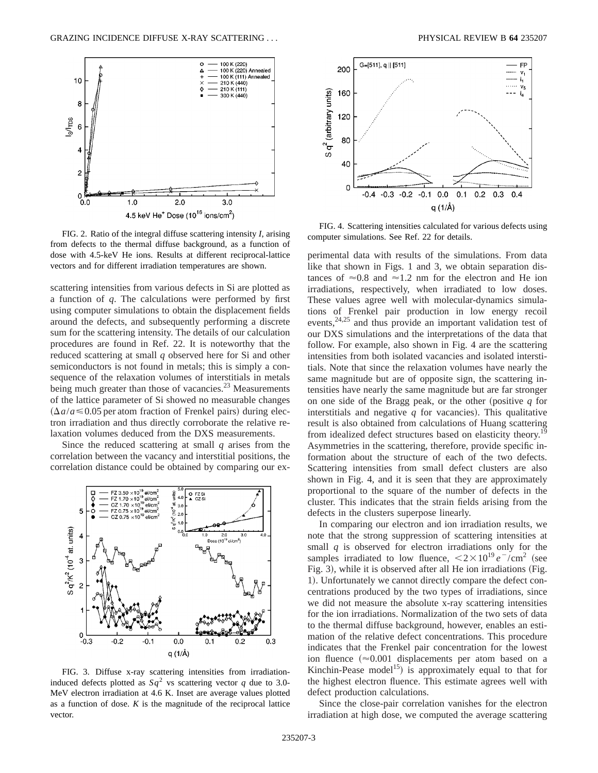

FIG. 2. Ratio of the integral diffuse scattering intensity *I*, arising from defects to the thermal diffuse background, as a function of dose with 4.5-keV He ions. Results at different reciprocal-lattice vectors and for different irradiation temperatures are shown.

scattering intensities from various defects in Si are plotted as a function of *q*. The calculations were performed by first using computer simulations to obtain the displacement fields around the defects, and subsequently performing a discrete sum for the scattering intensity. The details of our calculation procedures are found in Ref. 22. It is noteworthy that the reduced scattering at small *q* observed here for Si and other semiconductors is not found in metals; this is simply a consequence of the relaxation volumes of interstitials in metals being much greater than those of vacancies. $^{23}$  Measurements of the lattice parameter of Si showed no measurable changes  $(\Delta a/a \leq 0.05$  per atom fraction of Frenkel pairs) during electron irradiation and thus directly corroborate the relative relaxation volumes deduced from the DXS measurements.

Since the reduced scattering at small *q* arises from the correlation between the vacancy and interstitial positions, the correlation distance could be obtained by comparing our ex-



FIG. 3. Diffuse x-ray scattering intensities from irradiationinduced defects plotted as  $Sq^2$  vs scattering vector *q* due to 3.0-MeV electron irradiation at 4.6 K. Inset are average values plotted as a function of dose.  $K$  is the magnitude of the reciprocal lattice vector.



FIG. 4. Scattering intensities calculated for various defects using computer simulations. See Ref. 22 for details.

perimental data with results of the simulations. From data like that shown in Figs. 1 and 3, we obtain separation distances of  $\approx 0.8$  and  $\approx 1.2$  nm for the electron and He ion irradiations, respectively, when irradiated to low doses. These values agree well with molecular-dynamics simulations of Frenkel pair production in low energy recoil events,<sup>24,25</sup> and thus provide an important validation test of our DXS simulations and the interpretations of the data that follow. For example, also shown in Fig. 4 are the scattering intensities from both isolated vacancies and isolated interstitials. Note that since the relaxation volumes have nearly the same magnitude but are of opposite sign, the scattering intensities have nearly the same magnitude but are far stronger on one side of the Bragg peak, or the other (positive  $q$  for interstitials and negative  $q$  for vacancies). This qualitative result is also obtained from calculations of Huang scattering from idealized defect structures based on elasticity theory.<sup>19</sup> Asymmetries in the scattering, therefore, provide specific information about the structure of each of the two defects. Scattering intensities from small defect clusters are also shown in Fig. 4, and it is seen that they are approximately proportional to the square of the number of defects in the cluster. This indicates that the strain fields arising from the defects in the clusters superpose linearly.

In comparing our electron and ion irradiation results, we note that the strong suppression of scattering intensities at small *q* is observed for electron irradiations only for the samples irradiated to low fluence,  $\langle 2 \times 10^{19} e^{-7} \rangle$  (see Fig. 3), while it is observed after all He ion irradiations (Fig. 1). Unfortunately we cannot directly compare the defect concentrations produced by the two types of irradiations, since we did not measure the absolute x-ray scattering intensities for the ion irradiations. Normalization of the two sets of data to the thermal diffuse background, however, enables an estimation of the relative defect concentrations. This procedure indicates that the Frenkel pair concentration for the lowest ion fluence  $(\approx 0.001)$  displacements per atom based on a Kinchin-Pease model<sup>15</sup>) is approximately equal to that for the highest electron fluence. This estimate agrees well with defect production calculations.

Since the close-pair correlation vanishes for the electron irradiation at high dose, we computed the average scattering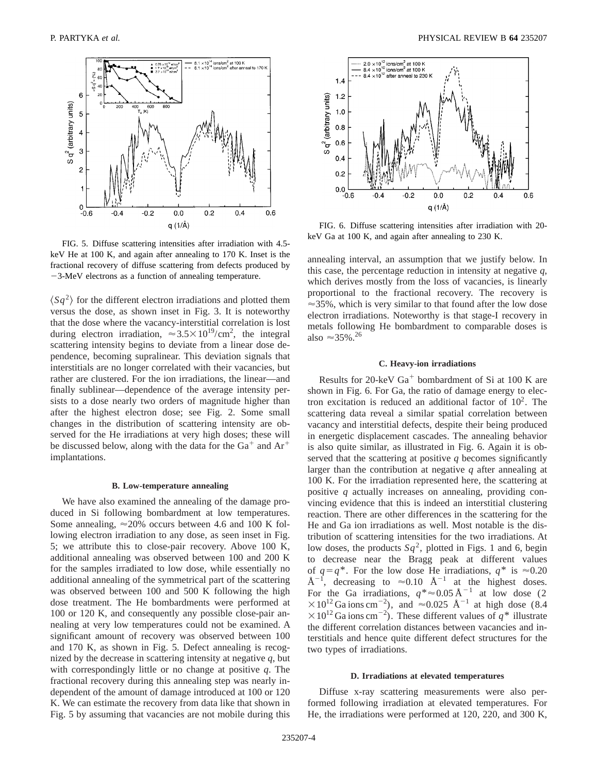

FIG. 5. Diffuse scattering intensities after irradiation with 4.5 keV He at 100 K, and again after annealing to 170 K. Inset is the fractional recovery of diffuse scattering from defects produced by  $-3-MeV$  electrons as a function of annealing temperature.

 $\langle Sq^2 \rangle$  for the different electron irradiations and plotted them versus the dose, as shown inset in Fig. 3. It is noteworthy that the dose where the vacancy-interstitial correlation is lost during electron irradiation,  $\approx 3.5 \times 10^{19} / \text{cm}^2$ , the integral scattering intensity begins to deviate from a linear dose dependence, becoming supralinear. This deviation signals that interstitials are no longer correlated with their vacancies, but rather are clustered. For the ion irradiations, the linear—and finally sublinear—dependence of the average intensity persists to a dose nearly two orders of magnitude higher than after the highest electron dose; see Fig. 2. Some small changes in the distribution of scattering intensity are observed for the He irradiations at very high doses; these will be discussed below, along with the data for the  $Ga^+$  and  $Ar^+$ implantations.

#### **B. Low-temperature annealing**

We have also examined the annealing of the damage produced in Si following bombardment at low temperatures. Some annealing,  $\approx$  20% occurs between 4.6 and 100 K following electron irradiation to any dose, as seen inset in Fig. 5; we attribute this to close-pair recovery. Above 100 K, additional annealing was observed between 100 and 200 K for the samples irradiated to low dose, while essentially no additional annealing of the symmetrical part of the scattering was observed between 100 and 500 K following the high dose treatment. The He bombardments were performed at 100 or 120 K, and consequently any possible close-pair annealing at very low temperatures could not be examined. A significant amount of recovery was observed between 100 and 170 K, as shown in Fig. 5. Defect annealing is recognized by the decrease in scattering intensity at negative *q*, but with correspondingly little or no change at positive *q*. The fractional recovery during this annealing step was nearly independent of the amount of damage introduced at 100 or 120 K. We can estimate the recovery from data like that shown in Fig. 5 by assuming that vacancies are not mobile during this



FIG. 6. Diffuse scattering intensities after irradiation with 20 keV Ga at 100 K, and again after annealing to 230 K.

annealing interval, an assumption that we justify below. In this case, the percentage reduction in intensity at negative *q*, which derives mostly from the loss of vacancies, is linearly proportional to the fractional recovery. The recovery is  $\approx$ 35%, which is very similar to that found after the low dose electron irradiations. Noteworthy is that stage-I recovery in metals following He bombardment to comparable doses is also  $\approx$  35%.<sup>26</sup>

## **C. Heavy-ion irradiations**

Results for 20-keV Ga<sup>+</sup> bombardment of Si at 100 K are shown in Fig. 6. For Ga, the ratio of damage energy to electron excitation is reduced an additional factor of  $10<sup>2</sup>$ . The scattering data reveal a similar spatial correlation between vacancy and interstitial defects, despite their being produced in energetic displacement cascades. The annealing behavior is also quite similar, as illustrated in Fig. 6. Again it is observed that the scattering at positive *q* becomes significantly larger than the contribution at negative *q* after annealing at 100 K. For the irradiation represented here, the scattering at positive *q* actually increases on annealing, providing convincing evidence that this is indeed an interstitial clustering reaction. There are other differences in the scattering for the He and Ga ion irradiations as well. Most notable is the distribution of scattering intensities for the two irradiations. At low doses, the products  $Sq^2$ , plotted in Figs. 1 and 6, begin to decrease near the Bragg peak at different values of  $q=q^*$ . For the low dose He irradiations,  $q^*$  is  $\approx 0.20$  $\AA^{-1}$ , decreasing to  $\approx 0.10 \text{ Å}^{-1}$  at the highest doses. For the Ga irradiations,  $q^* \approx 0.05 \text{ Å}^{-1}$  at low dose (2)  $\times 10^{12}$  Ga ions cm<sup>-2</sup>), and  $\approx 0.025$  Å<sup>-1</sup> at high dose (8.4)  $\times 10^{12}$  Ga ions cm<sup>-2</sup>). These different values of  $q^*$  illustrate the different correlation distances between vacancies and interstitials and hence quite different defect structures for the two types of irradiations.

#### **D. Irradiations at elevated temperatures**

Diffuse x-ray scattering measurements were also performed following irradiation at elevated temperatures. For He, the irradiations were performed at 120, 220, and 300 K,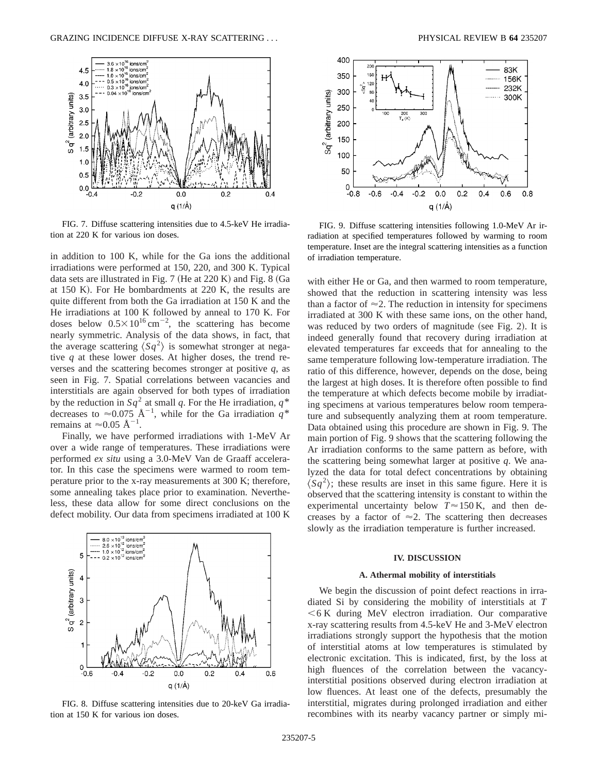

FIG. 7. Diffuse scattering intensities due to 4.5-keV He irradiation at 220 K for various ion doses.

in addition to 100 K, while for the Ga ions the additional irradiations were performed at 150, 220, and 300 K. Typical data sets are illustrated in Fig. 7 (He at 220 K) and Fig. 8 (Ga at 150 K). For He bombardments at 220 K, the results are quite different from both the Ga irradiation at 150 K and the He irradiations at 100 K followed by anneal to 170 K. For doses below  $0.5 \times 10^{16}$  cm<sup>-2</sup>, the scattering has become nearly symmetric. Analysis of the data shows, in fact, that the average scattering  $\langle Sq^2 \rangle$  is somewhat stronger at negative *q* at these lower doses. At higher doses, the trend reverses and the scattering becomes stronger at positive *q*, as seen in Fig. 7. Spatial correlations between vacancies and interstitials are again observed for both types of irradiation by the reduction in  $Sq^2$  at small *q*. For the He irradiation,  $q^*$ decreases to  $\approx 0.075$  Å<sup>-1</sup>, while for the Ga irradiation  $q^*$ remains at  $\approx 0.05 \text{ Å}^{-1}$ .

Finally, we have performed irradiations with 1-MeV Ar over a wide range of temperatures. These irradiations were performed *ex situ* using a 3.0-MeV Van de Graaff accelerator. In this case the specimens were warmed to room temperature prior to the x-ray measurements at 300 K; therefore, some annealing takes place prior to examination. Nevertheless, these data allow for some direct conclusions on the defect mobility. Our data from specimens irradiated at 100 K



FIG. 8. Diffuse scattering intensities due to 20-keV Ga irradiation at 150 K for various ion doses.



FIG. 9. Diffuse scattering intensities following 1.0-MeV Ar irradiation at specified temperatures followed by warming to room temperature. Inset are the integral scattering intensities as a function of irradiation temperature.

with either He or Ga, and then warmed to room temperature, showed that the reduction in scattering intensity was less than a factor of  $\approx$  2. The reduction in intensity for specimens irradiated at 300 K with these same ions, on the other hand, was reduced by two orders of magnitude (see Fig. 2). It is indeed generally found that recovery during irradiation at elevated temperatures far exceeds that for annealing to the same temperature following low-temperature irradiation. The ratio of this difference, however, depends on the dose, being the largest at high doses. It is therefore often possible to find the temperature at which defects become mobile by irradiating specimens at various temperatures below room temperature and subsequently analyzing them at room temperature. Data obtained using this procedure are shown in Fig. 9. The main portion of Fig. 9 shows that the scattering following the Ar irradiation conforms to the same pattern as before, with the scattering being somewhat larger at positive *q*. We analyzed the data for total defect concentrations by obtaining  $\langle Sq^2 \rangle$ ; these results are inset in this same figure. Here it is observed that the scattering intensity is constant to within the experimental uncertainty below  $T \approx 150 \text{ K}$ , and then decreases by a factor of  $\approx 2$ . The scattering then decreases slowly as the irradiation temperature is further increased.

#### **IV. DISCUSSION**

#### **A. Athermal mobility of interstitials**

We begin the discussion of point defect reactions in irradiated Si by considering the mobility of interstitials at *T*  $<$  6 K during MeV electron irradiation. Our comparative x-ray scattering results from 4.5-keV He and 3-MeV electron irradiations strongly support the hypothesis that the motion of interstitial atoms at low temperatures is stimulated by electronic excitation. This is indicated, first, by the loss at high fluences of the correlation between the vacancyinterstitial positions observed during electron irradiation at low fluences. At least one of the defects, presumably the interstitial, migrates during prolonged irradiation and either recombines with its nearby vacancy partner or simply mi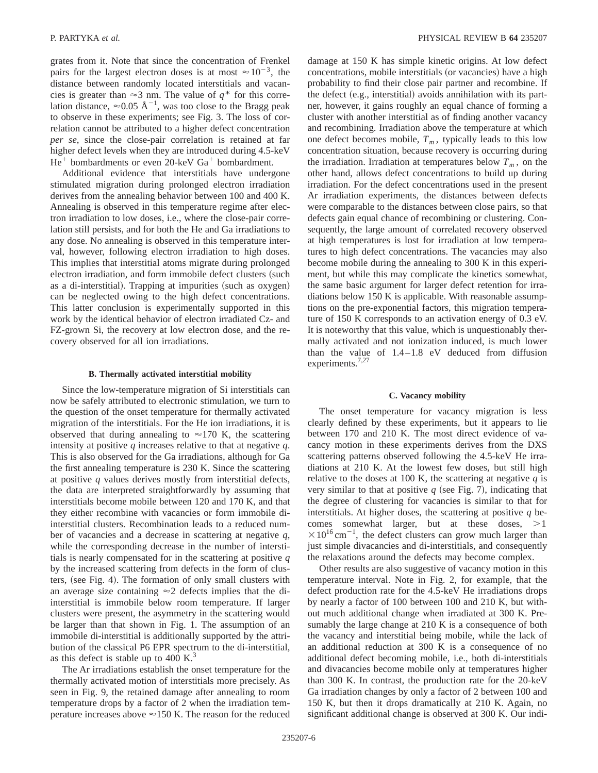grates from it. Note that since the concentration of Frenkel pairs for the largest electron doses is at most  $\approx 10^{-3}$ , the distance between randomly located interstitials and vacancies is greater than  $\approx$ 3 nm. The value of  $q$ <sup>\*</sup> for this correlation distance,  $\approx 0.05 \text{ Å}^{-1}$ , was too close to the Bragg peak to observe in these experiments; see Fig. 3. The loss of correlation cannot be attributed to a higher defect concentration *per se*, since the close-pair correlation is retained at far higher defect levels when they are introduced during 4.5-keV  $He<sup>+</sup>$  bombardments or even 20-keV Ga<sup>+</sup> bombardment.

Additional evidence that interstitials have undergone stimulated migration during prolonged electron irradiation derives from the annealing behavior between 100 and 400 K. Annealing is observed in this temperature regime after electron irradiation to low doses, i.e., where the close-pair correlation still persists, and for both the He and Ga irradiations to any dose. No annealing is observed in this temperature interval, however, following electron irradiation to high doses. This implies that interstitial atoms migrate during prolonged electron irradiation, and form immobile defect clusters (such as a di-interstitial). Trapping at impurities (such as oxygen) can be neglected owing to the high defect concentrations. This latter conclusion is experimentally supported in this work by the identical behavior of electron irradiated Cz- and FZ-grown Si, the recovery at low electron dose, and the recovery observed for all ion irradiations.

#### **B. Thermally activated interstitial mobility**

Since the low-temperature migration of Si interstitials can now be safely attributed to electronic stimulation, we turn to the question of the onset temperature for thermally activated migration of the interstitials. For the He ion irradiations, it is observed that during annealing to  $\approx$ 170 K, the scattering intensity at positive *q* increases relative to that at negative *q*. This is also observed for the Ga irradiations, although for Ga the first annealing temperature is 230 K. Since the scattering at positive *q* values derives mostly from interstitial defects, the data are interpreted straightforwardly by assuming that interstitials become mobile between 120 and 170 K, and that they either recombine with vacancies or form immobile diinterstitial clusters. Recombination leads to a reduced number of vacancies and a decrease in scattering at negative *q*, while the corresponding decrease in the number of interstitials is nearly compensated for in the scattering at positive *q* by the increased scattering from defects in the form of clusters, (see Fig. 4). The formation of only small clusters with an average size containing  $\approx$  2 defects implies that the diinterstitial is immobile below room temperature. If larger clusters were present, the asymmetry in the scattering would be larger than that shown in Fig. 1. The assumption of an immobile di-interstitial is additionally supported by the attribution of the classical P6 EPR spectrum to the di-interstitial, as this defect is stable up to 400 K.<sup>3</sup>

The Ar irradiations establish the onset temperature for the thermally activated motion of interstitials more precisely. As seen in Fig. 9, the retained damage after annealing to room temperature drops by a factor of 2 when the irradiation temperature increases above  $\approx$  150 K. The reason for the reduced damage at 150 K has simple kinetic origins. At low defect concentrations, mobile interstitials (or vacancies) have a high probability to find their close pair partner and recombine. If the defect  $(e.g.,$  interstitial) avoids annihilation with its partner, however, it gains roughly an equal chance of forming a cluster with another interstitial as of finding another vacancy and recombining. Irradiation above the temperature at which one defect becomes mobile,  $T_m$ , typically leads to this low concentration situation, because recovery is occurring during the irradiation. Irradiation at temperatures below  $T_m$ , on the other hand, allows defect concentrations to build up during irradiation. For the defect concentrations used in the present Ar irradiation experiments, the distances between defects were comparable to the distances between close pairs, so that defects gain equal chance of recombining or clustering. Consequently, the large amount of correlated recovery observed at high temperatures is lost for irradiation at low temperatures to high defect concentrations. The vacancies may also become mobile during the annealing to 300 K in this experiment, but while this may complicate the kinetics somewhat, the same basic argument for larger defect retention for irradiations below 150 K is applicable. With reasonable assumptions on the pre-exponential factors, this migration temperature of 150 K corresponds to an activation energy of 0.3 eV. It is noteworthy that this value, which is unquestionably thermally activated and not ionization induced, is much lower than the value of 1.4–1.8 eV deduced from diffusion experiments. $7,27$ 

#### **C. Vacancy mobility**

The onset temperature for vacancy migration is less clearly defined by these experiments, but it appears to lie between 170 and 210 K. The most direct evidence of vacancy motion in these experiments derives from the DXS scattering patterns observed following the 4.5-keV He irradiations at 210 K. At the lowest few doses, but still high relative to the doses at 100 K, the scattering at negative  $q$  is very similar to that at positive  $q$  (see Fig. 7), indicating that the degree of clustering for vacancies is similar to that for interstitials. At higher doses, the scattering at positive *q* becomes somewhat larger, but at these doses,  $>1$  $\times 10^{16}$  cm<sup>-1</sup>, the defect clusters can grow much larger than just simple divacancies and di-interstitials, and consequently the relaxations around the defects may become complex.

Other results are also suggestive of vacancy motion in this temperature interval. Note in Fig. 2, for example, that the defect production rate for the 4.5-keV He irradiations drops by nearly a factor of 100 between 100 and 210 K, but without much additional change when irradiated at 300 K. Presumably the large change at 210 K is a consequence of both the vacancy and interstitial being mobile, while the lack of an additional reduction at 300 K is a consequence of no additional defect becoming mobile, i.e., both di-interstitials and divacancies become mobile only at temperatures higher than 300 K. In contrast, the production rate for the 20-keV Ga irradiation changes by only a factor of 2 between 100 and 150 K, but then it drops dramatically at 210 K. Again, no significant additional change is observed at 300 K. Our indi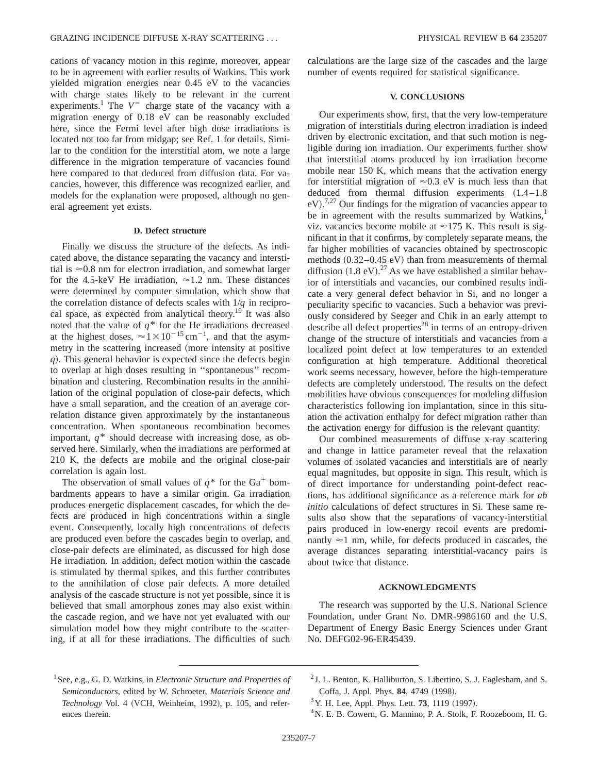cations of vacancy motion in this regime, moreover, appear to be in agreement with earlier results of Watkins. This work yielded migration energies near 0.45 eV to the vacancies with charge states likely to be relevant in the current experiments.<sup>1</sup> The  $V^=$  charge state of the vacancy with a migration energy of 0.18 eV can be reasonably excluded here, since the Fermi level after high dose irradiations is located not too far from midgap; see Ref. 1 for details. Similar to the condition for the interstitial atom, we note a large difference in the migration temperature of vacancies found here compared to that deduced from diffusion data. For vacancies, however, this difference was recognized earlier, and models for the explanation were proposed, although no general agreement yet exists.

#### **D. Defect structure**

Finally we discuss the structure of the defects. As indicated above, the distance separating the vacancy and interstitial is  $\approx 0.8$  nm for electron irradiation, and somewhat larger for the 4.5-keV He irradiation,  $\approx$  1.2 nm. These distances were determined by computer simulation, which show that the correlation distance of defects scales with 1/*q* in reciprocal space, as expected from analytical theory.<sup>19</sup> It was also noted that the value of  $q^*$  for the He irradiations decreased at the highest doses,  $\approx 1 \times 10^{-15}$  cm<sup>-1</sup>, and that the asymmetry in the scattering increased (more intensity at positive *q*). This general behavior is expected since the defects begin to overlap at high doses resulting in ''spontaneous'' recombination and clustering. Recombination results in the annihilation of the original population of close-pair defects, which have a small separation, and the creation of an average correlation distance given approximately by the instantaneous concentration. When spontaneous recombination becomes important, *q*\* should decrease with increasing dose, as observed here. Similarly, when the irradiations are performed at 210 K, the defects are mobile and the original close-pair correlation is again lost.

The observation of small values of  $q^*$  for the Ga<sup>+</sup> bombardments appears to have a similar origin. Ga irradiation produces energetic displacement cascades, for which the defects are produced in high concentrations within a single event. Consequently, locally high concentrations of defects are produced even before the cascades begin to overlap, and close-pair defects are eliminated, as discussed for high dose He irradiation. In addition, defect motion within the cascade is stimulated by thermal spikes, and this further contributes to the annihilation of close pair defects. A more detailed analysis of the cascade structure is not yet possible, since it is believed that small amorphous zones may also exist within the cascade region, and we have not yet evaluated with our simulation model how they might contribute to the scattering, if at all for these irradiations. The difficulties of such

calculations are the large size of the cascades and the large number of events required for statistical significance.

## **V. CONCLUSIONS**

Our experiments show, first, that the very low-temperature migration of interstitials during electron irradiation is indeed driven by electronic excitation, and that such motion is negligible during ion irradiation. Our experiments further show that interstitial atoms produced by ion irradiation become mobile near 150 K, which means that the activation energy for interstitial migration of  $\approx 0.3$  eV is much less than that deduced from thermal diffusion experiments  $(1.4-1.8$  $eV$ ).<sup>7,27</sup> Our findings for the migration of vacancies appear to be in agreement with the results summarized by Watkins, $<sup>1</sup>$ </sup> viz. vacancies become mobile at  $\approx$  175 K. This result is significant in that it confirms, by completely separate means, the far higher mobilities of vacancies obtained by spectroscopic methods  $(0.32-0.45 \text{ eV})$  than from measurements of thermal diffusion  $(1.8 \text{ eV})$ .<sup>27</sup> As we have established a similar behavior of interstitials and vacancies, our combined results indicate a very general defect behavior in Si, and no longer a peculiarity specific to vacancies. Such a behavior was previously considered by Seeger and Chik in an early attempt to describe all defect properties<sup>28</sup> in terms of an entropy-driven change of the structure of interstitials and vacancies from a localized point defect at low temperatures to an extended configuration at high temperature. Additional theoretical work seems necessary, however, before the high-temperature defects are completely understood. The results on the defect mobilities have obvious consequences for modeling diffusion characteristics following ion implantation, since in this situation the activation enthalpy for defect migration rather than the activation energy for diffusion is the relevant quantity.

Our combined measurements of diffuse x-ray scattering and change in lattice parameter reveal that the relaxation volumes of isolated vacancies and interstitials are of nearly equal magnitudes, but opposite in sign. This result, which is of direct importance for understanding point-defect reactions, has additional significance as a reference mark for *ab initio* calculations of defect structures in Si. These same results also show that the separations of vacancy-interstitial pairs produced in low-energy recoil events are predominantly  $\approx$  1 nm, while, for defects produced in cascades, the average distances separating interstitial-vacancy pairs is about twice that distance.

#### **ACKNOWLEDGMENTS**

The research was supported by the U.S. National Science Foundation, under Grant No. DMR-9986160 and the U.S. Department of Energy Basic Energy Sciences under Grant No. DEFG02-96-ER45439.

- <sup>2</sup> J. L. Benton, K. Halliburton, S. Libertino, S. J. Eaglesham, and S. Coffa, J. Appl. Phys. **84**, 4749 (1998).
- <sup>3</sup> Y. H. Lee, Appl. Phys. Lett. **73**, 1119 (1997).

<sup>1</sup>See, e.g., G. D. Watkins, in *Electronic Structure and Properties of Semiconductors*, edited by W. Schroeter, *Materials Science and Technology* Vol. 4 (VCH, Weinheim, 1992), p. 105, and references therein.

<sup>4</sup>N. E. B. Cowern, G. Mannino, P. A. Stolk, F. Roozeboom, H. G.